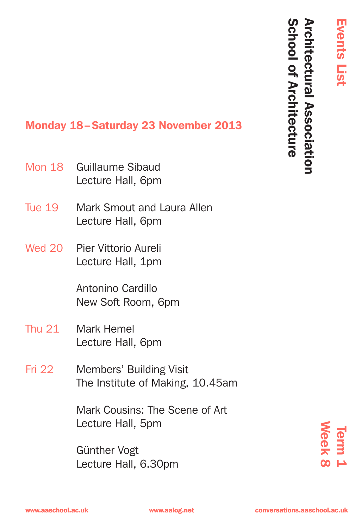Events List

**Events List** 

School of Architecture

# Monday 18–Saturday 23 November 2013

- Guillaume Sibaud Lecture Hall, 6pm Mon 18
- Mark Smout and Laura Allen Lecture Hall, 6pm Tue 19
- Wed 20 Pier Vittorio Aureli Lecture Hall, 1pm

Antonino Cardillo New Soft Room, 6pm

- Mark Hemel Lecture Hall, 6pm Thu 21
- Members' Building Visit The Institute of Making, 10.45am Fri 22

Mark Cousins: The Scene of Art Lecture Hall, 5pm

Lecture Hall, 5pm<br>
Günther Vogt<br>
Lecture Hall, 6.30pm<br>
www.aaschool.ac.uk www.aalog.net conversations.aaschool.ac.uk Günther Vogt Lecture Hall, 6.30pm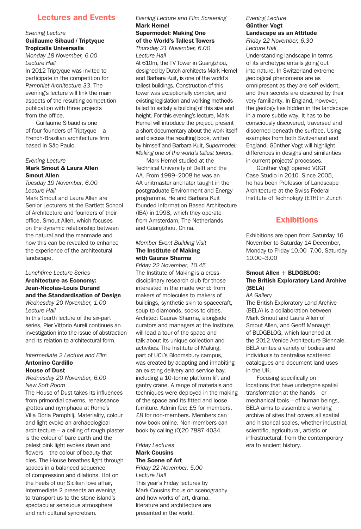# Lectures and Events

#### *Evening Lecture*

#### Guillaume Sibaud / Triptyque Tropicalis Universalis

*Monday 18 November, 6.00 Lecture Hall*

In 2012 Triptyque was invited to participate in the competition for *Pamphlet Architecture 33*. The evening's lecture will link the main aspects of the resulting competition publication with three projects from the office.

Guillaume Sibaud is one of four founders of Triptyque – a French-Brazilian architecture firm based in São Paulo.

#### *Evening Lecture*

## Mark Smout & Laura Allen Smout Allen

*Tuesday 19 November, 6.00 Lecture Hall*

Mark Smout and Laura Allen are Senior Lecturers at the Bartlett School of Architecture and founders of their office, Smout Allen, which focuses on the dynamic relationship between the natural and the manmade and how this can be revealed to enhance the experience of the architectural landscape.

#### *Lunchtime Lecture Series* Architecture as Economy: Jean-Nicolas-Louis Durand

and the Standardisation of Design *Wednesday 20 November, 1.00 Lecture Hall*

In this fourth lecture of the six-part series, Pier Vittorio Aureli continues an investigation into the issue of abstraction and its relation to architectural form.

#### *Intermediate 2 Lecture and Film* Antonino Cardillo House of Dust

*Wednesday 20 November, 6.00 New Soft Room*

The House of Dust takes its influences from primordial caverns, renaissance grottos and nymphaea at Rome's Villa Doria Pamphilj. Materiality, colour and light evoke an archaeological architecture – a ceiling of rough plaster is the colour of bare earth and the palest pink light evokes dawn and flowers – the colour of beauty that dies. The House breathes light through spaces in a balanced sequence of compression and dilations. Hot on the heels of our Sicilian love affair, Intermediate 2 presents an evening to transport us to the stone island's spectacular sensuous atmosphere and rich cultural syncretism.

#### *Evening Lecture and Film Screening* Mark Hemel

# Supermodel: Making One of the World's Tallest Towers *Thursday 21 November, 6.00*

*Lecture Hall*

At 610m, the TV Tower in Guangzhou, designed by Dutch architects Mark Hemel and Barbara Kuit, is one of the world's tallest buildings. Construction of this tower was exceptionally complex, and existing legislation and working methods failed to satisfy a building of this size and height. For this evening's lecture, Mark Hemel will introduce the project, present a short documentary about the work itself and discuss the resulting book, written by himself and Barbara Kuit, *Supermodel: Making one of the world's tallest towers.*

Mark Hemel studied at the Technical University of Delft and the AA. From 1999–2008 he was an AA unitmaster and later taught in the postgraduate Environment and Energy programme. He and Barbara Kuit founded Information Based Architecture (IBA) in 1998, which they operate from Amsterdam, The Netherlands and Guangzhou, China.

# *Member Event Building Visit* The Institute of Making with Gaurav Sharma

*Friday 22 November, 10.45* The Institute of Making is a crossdisciplinary research club for those interested in the made world: from makers of molecules to makers of buildings, synthetic skin to spacecraft, soup to diamonds, socks to cities. Architect Gaurav Sharma, alongside curators and managers at the Institute, will lead a tour of the space and talk about its unique collection and activities. The Institute of Making, part of UCL's Bloomsbury campus, was created by adapting and inhabiting an existing delivery and service bay, including a 10-tonne platform lift and gantry crane. A range of materials and techniques were deployed in the making of the space and its fitted and loose furniture. Admin fee: £5 for members, £8 for non-members. Members can now book online. Non-members can book by calling (0)20 7887 4034.

#### *Friday Lectures* Mark Cousins The Scene of Art

*Friday 22 November, 5.00 Lecture Hall* This year's Friday lectures by Mark Cousins focus on scenography and how works of art, drama, literature and architecture are presented in the world.

# *Evening Lecture* Günther Vogt

# Landscape as an Attitude

*Friday 22 November, 6.30 Lecture Hall*

Understanding landscape in terms of its archetype entails going out into nature. In Switzerland extreme geological phenomena are as omnipresent as they are self-evident, and their secrets are obscured by their very familiarity. In England, however, the geology lies hidden in the landscape in a more subtle way. It has to be consciously discovered, traversed and discerned beneath the surface. Using examples from both Switzerland and England, Günther Vogt will highlight differences in designs and similarities in current projects' processes.

Günther Vogt opened VOGT Case Studio in 2010. Since 2005, he has been Professor of Landscape Architecture at the Swiss Federal Institute of Technology (ETH) in Zurich

# **Exhibitions**

Exhibitions are open from Saturday 16 November to Saturday 14 December, Monday to Friday 10.00–7.00, Saturday 10.00–3.00

#### Smout Allen + BLDGBLOG: The British Exploratory Land Archive (BELA)

*AA Gallery*

The British Exploratory Land Archive (BELA) is a collaboration between Mark Smout and Laura Allen of Smout Allen, and Geoff Manaugh of BLDGBLOG, which launched at the 2012 Venice Architecture Biennale. BELA unites a variety of bodies and individuals to centralise scattered catalogues and document land uses in the UK.

Focusing specifically on locations that have undergone spatial transformation at the hands – or mechanical tools – of human beings, BELA aims to assemble a working archive of sites that covers all spatial and historical scales, whether industrial, scientific, agricultural, artistic or infrastructural, from the contemporary era to ancient history.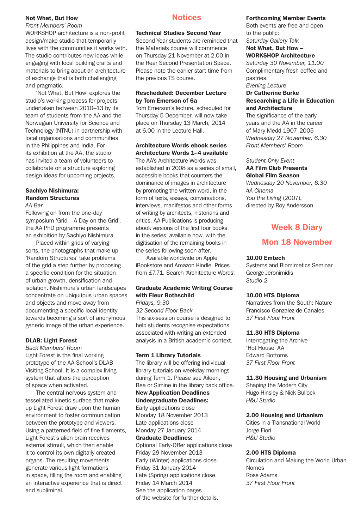#### Not What, But How

*Front Members' Room*

WORKSHOP architecture is a non-profit design/make studio that temporarily lives with the communities it works with. The studio contributes new ideas while engaging with local building crafts and materials to bring about an architecture of exchange that is both challenging and pragmatic.

'Not What, But How' explores the studio's working process for projects undertaken between 2010–13 by its team of students from the AA and the Norwegian University for Science and Technology (NTNU) in partnership with local organisations and communities in the Philippines and India. For its exhibition at the AA, the studio has invited a team of volunteers to collaborate on a structure exploring design ideas for upcoming projects.

# Sachiyo Nishimura: Random Structures

#### *AA Bar*

Following on from the one-day symposium 'Grid – A Day on the Grid', the AA PhD programme presents an exhibition by Sachiyo Nishimura.

Placed within grids of varying sorts, the photographs that make up 'Random Structures' take problems of the grid a step further by proposing a specific condition for the situation of urban growth, densification and isolation. Nishimura's urban landscapes concentrate on ubiquitous urban spaces and objects and move away from documenting a specific local identity towards becoming a sort of anonymous generic image of the urban experience.

#### DLAB: Light Forest

*Back Members' Room* Light Forest is the final working prototype of the AA School's DLAB Visiting School. It is a complex living system that alters the perception of space when activated.

The central nervous system and tessellated kinetic surface that make up Light Forest draw upon the human environment to foster communication between the prototype and viewers. Using a patterned field of fine filaments, Light Forest's alien brain receives external stimuli, which then enable it to control its own digitally created organs. The resulting movements generate various light formations in space, filling the room and enabling an interactive experience that is direct and subliminal.

# **Notices**

#### Technical Studies Second Year

Second Year students are reminded that the Materials course will commence on Thursday 21 November at 2.00 in the Rear Second Presentation Space. Please note the earlier start time from the previous TS course.

#### Rescheduled: December Lecture by Tom Emerson of 6a

Tom Emerson's lecture, scheduled for Thursday 5 December, will now take place on Thursday 13 March, 2014 at 6.00 in the Lecture Hall.

#### Architecture Words ebook series Architecture Words 1–4 available

The AA's Architecture Words was established in 2008 as a series of small, accessible books that counters the dominance of images in architecture by promoting the written word, in the form of texts, essays, conversations, interviews, manifestos and other forms of writing by architects, historians and critics. AA Publications is producing ebook versions of the first four books in the series, available now, with the digitisation of the remaining books in the series following soon after.

Available worldwide on Apple iBookstore and Amazon Kindle. Prices from £7.71. Search 'Architecture Words'.

# Graduate Academic Writing Course with Fleur Rothschild

*Fridays, 9.30 32 Second Floor Back* This six-session course is designed to help students recognise expectations associated with writing an extended analysis in a British academic context.

#### Term 1 Library Tutorials

The library will be offering individual library tutorials on weekday mornings during Term 1. Please see Aileen, Bea or Simine in the library back office.

# New Application Deadlines

Undergraduate Deadlines: Early applications close

Monday 18 November 2013 Late applications close Monday 27 January 2014

#### Graduate Deadlines:

Optional Early-Offer applications close Friday 29 November 2013 Early (Winter) applications close Friday 31 January 2014 Late (Spring) applications close Friday 14 March 2014 See the application pages of the website for further details.

#### Forthcoming Member Events

Both events are free and open to the public: *Saturday Gallery Talk*

Not What, But How –

#### WORKSHOP Architecture

*Saturday 30 November, 11.00* Complimentary fresh coffee and pastries.

# *Evening Lecture*

#### Dr Catherine Burke Researching a Life in Education and Architecture

The significance of the early years and the AA in the career of Mary Medd 1907–2005 *Wednesday 27 November, 6.30 Front Members' Room*

#### *Student-Only Event* AA Film Club Presents Global Film Season

*Wednesday 20 November, 6.30 AA Cinema You the Living* (2007),

directed by Roy Andersson

# Week 8 Diary

# Mon 18 November

# 10.00 Emtech

Systems and Biomimetics Seminar George Jeronimidis *Studio 2*

#### 10.00 HTS Diploma

Narratives from the South: Nature Francisco Gonzalez de Canales *37 First Floor Front* 

#### 11.30 HTS Diploma

Interrogating the Archive 'Hot House' AA Edward Bottoms *37 First Floor Front* 

#### 11.30 Housing and Urbanism

Shaping the Modern City Hugo Hinsley & Nick Bullock *H&U Studio*

## 2.00 Housing and Urbanism

Cities in a Transnational World Jorge Fiori *H&U Studio*

#### 2.00 HTS Diploma

Circulation and Making the World Urban Nomos Ross Adams *37 First Floor Front*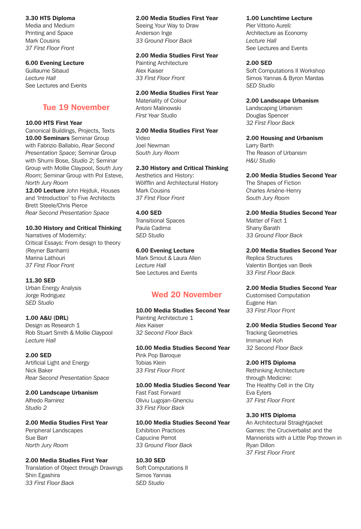# 3.30 HTS Diploma

Media and Medium Printing and Space Mark Cousins *37 First Floor Front*

#### 6.00 Evening Lecture

Guillaume Sibaud *Lecture Hall* See Lectures and Events

# Tue 19 November

## 10.00 HTS First Year

Canonical Buildings, Projects, Texts 10.00 Seminars Seminar Group with Fabrizio Ballabio, *Rear Second Presentation Space*; Seminar Group with Shumi Bose, *Studio 2*; Seminar Group with Mollie Claypool, *South Jury Room*; Seminar Group with Pol Esteve, *North Jury Room*

12.00 Lecture John Heiduk, Houses and 'Introduction' to Five Architects Brett Steele/Chris Pierce *Rear Second Presentation Space*

# 10.30 History and Critical Thinking

Narratives of Modernity: Critical Essays: From design to theory (Reyner Banham) Marina Lathouri *37 First Floor Front*

#### 11.30 SED

Urban Energy Analysis Jorge Rodriguez *SED Studio*

# 1.00 A&U (DRL)

Design as Research 1 Rob Stuart Smith & Mollie Claypool *Lecture Hall*

#### 2.00 SED

Artificial Light and Energy Nick Baker *Rear Second Presentation Space*

2.00 Landscape Urbanism Alfredo Ramirez

*Studio 2* 2.00 Media Studies First Year Peripheral Landscapes Sue Barr

*North Jury Room* 2.00 Media Studies First Year Translation of Object through Drawings

Shin Egashira *33 First Floor Back*

# 2.00 Media Studies First Year

Seeing Your Way to Draw Anderson Inge *33 Ground Floor Back*

## 2.00 Media Studies First Year

Painting Architecture Alex Kaiser *33 First Floor Front*

## 2.00 Media Studies First Year

Materiality of Colour Antoni Malinowski *First Year Studio*

2.00 Media Studies First Year Video Joel Newman *South Jury Room*

#### 2.30 History and Critical Thinking

Aesthetics and History: Wölfflin and Architectural History Mark Cousins *37 First Floor Front*

#### 4.00 SED

Transitional Spaces Paula Cadima *SED Studio*

#### 6.00 Evening Lecture

Mark Smout & Laura Allen *Lecture Hall* See Lectures and Events

# Wed 20 November

#### 10.00 Media Studies Second Year Painting Architecture 1

Alex Kaiser *32 Second Floor Back*

# 10.00 Media Studies Second Year

Pink Pop Baroque Tobias Klein *33 First Floor Front*

#### 10.00 Media Studies Second Year Fast Fast Forward Oliviu Lugojan-Ghenciu *33 First Floor Back*

10.00 Media Studies Second Year Exhibition Practices Capucine Perrot *33 Ground Floor Back*

10.30 SED Soft Computations II Simos Yannas *SED Studio*

# 1.00 Lunchtime Lecture

Pier Vittorio Aureli: Architecture as Economy *Lecture Hall* See Lectures and Events

# 2.00 SED

Soft Computations II Workshop Simos Yannas & Byron Mardas *SED Studio*

#### 2.00 Landscape Urbanism

Landscaping Urbanism Douglas Spencer *32 First Floor Back*

# 2.00 Housing and Urbanism

Larry Barth The Reason of Urbanism *H&U Studio*

2.00 Media Studies Second Year The Shapes of Fiction Charles Arsène-Henry

*South Jury Room*

2.00 Media Studies Second Year Matter of Fact 1 Shany Barath *33 Ground Floor Back*

2.00 Media Studies Second Year Replica Structures Valentin Bontjes van Beek *33 First Floor Back*

2.00 Media Studies Second Year Customised Computation Eugene Han *33 First Floor Front*

## 2.00 Media Studies Second Year

Tracking Geometries Immanuel Koh *32 Second Floor Back*

#### 2.00 HTS Diploma

Rethinking Architecture through Medicine: The Healthy Cell in the City Eva Eylers *37 First Floor Front*

## 3.30 HTS Diploma

An Architectural Straightjacket Games: the Cruciverbalist and the Mannerists with a Little Pop thrown in Ryan Dillon *37 First Floor Front*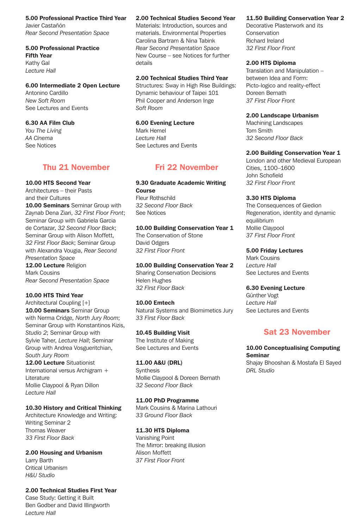5.00 Professional Practice Third Year

Javier Castañón *Rear Second Presentation Space*

## 5.00 Professional Practice Fifth Year Kathy Gal *Lecture Hall*

## 6.00 Intermediate 2 Open Lecture

Antonino Cardillo *New Soft Room* See Lectures and Events

# 6.30 AA Film Club

*You The Living AA Cinema* See Notices

# Thu 21 November

### 10.00 HTS Second Year

Architectures – their Pasts and their Cultures

10.00 Seminars Seminar Group with Zaynab Dena Ziari, *32 First Floor Front*; Seminar Group with Gabriela Garcia de Cortazar, *32 Second Floor Back*; Seminar Group with Alison Moffett, *32 First Floor Back*; Seminar Group with Alexandra Vougia, *Rear Second Presentation Space* 12.00 Lecture Religion Mark Cousins

# *Rear Second Presentation Space*

# 10.00 HTS Third Year

Architectural Coupling [+] 10.00 Seminars Seminar Group with Nerma Cridge, *North Jury Room*; Seminar Group with Konstantinos Kizis, *Studio 2*; Seminar Group with Sylvie Taher, *Lecture Hall*; Seminar Group with Andrea Vosgueritchian, *South Jury Room* 12.00 Lecture Situationist

International versus Archigram + Literature Mollie Claypool & Ryan Dillon *Lecture Hall*

# 10.30 History and Critical Thinking

Architecture Knowledge and Writing: Writing Seminar 2 Thomas Weaver *33 First Floor Back*

2.00 Housing and Urbanism Larry Barth Critical Urbanism *H&U Studio*

#### 2.00 Technical Studies First Year Case Study: Getting it Built

Ben Godber and David Illingworth *Lecture Hall*

# 2.00 Technical Studies Second Year

Materials: Introduction, sources and materials. Environmental Properties Carolina Bartram & Nina Tabink *Rear Second Presentation Space* New Course – see Notices for further details

# 2.00 Technical Studies Third Year

Structures: Sway in High Rise Buildings: Dynamic behaviour of Taipei 101 Phil Cooper and Anderson Inge *Soft Room*

# 6.00 Evening Lecture

Mark Hemel *Lecture Hall* See Lectures and Events

# Fri 22 November

9.30 Graduate Academic Writing Course Fleur Rothschild *32 Second Floor Back* See Notices

10.00 Building Conservation Year 1 The Conservation of Stone David Odgers *32 First Floor Front*

# 10.00 Building Conservation Year 2

Sharing Conservation Decisions Helen Hughes *32 First Floor Back*

# 10.00 Emtech

Natural Systems and Biomimetics Jury *33 First Floor Back*

# 10.45 Building Visit

The Institute of Making See Lectures and Events

# 11.00 A&U (DRL)

**Synthesis** Mollie Claypool & Doreen Bernath *32 Second Floor Back*

# 11.00 PhD Programme

Mark Cousins & Marina Lathouri *33 Ground Floor Back*

# 11.30 HTS Diploma

Vanishing Point The Mirror: breaking illusion Alison Moffett *37 First Floor Front* 

# 11.50 Building Conservation Year 2

Decorative Plasterwork and its Conservation Richard Ireland *32 First Floor Front*

#### 2.00 HTS Diploma

Translation and Manipulation – between Idea and Form: Picto-logico and reality-effect Doreen Bernath *37 First Floor Front*

## 2.00 Landscape Urbanism

Machining Landscapes Tom Smith *32 Second Floor Back*

# 2.00 Building Conservation Year 1

London and other Medieval European Cities, 1100–1600 John Schofield *32 First Floor Front*

## 3.30 HTS Diploma

The Consequences of Giedion Regeneration, identity and dynamic equilibrium Mollie Claypool *37 First Floor Front* 

### 5.00 Friday Lectures

Mark Cousins *Lecture Hall* See Lectures and Events

# 6.30 Evening Lecture

Günther Vogt *Lecture Hall* See Lectures and Events

# Sat 23 November

# 10.00 Conceptualising Computing Seminar

Shajay Bhooshan & Mostafa El Sayed *DRL Studio*